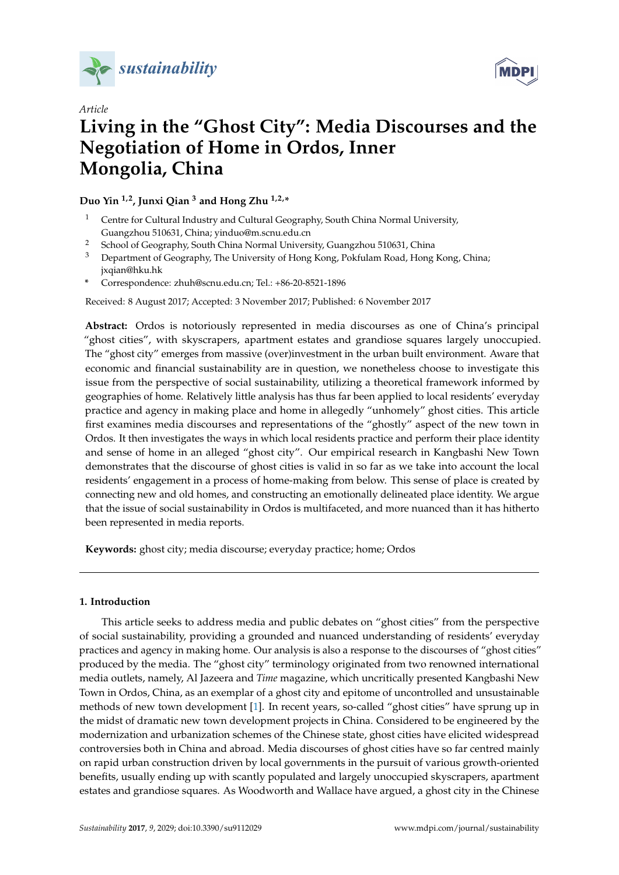



# *Article* **Living in the "Ghost City": Media Discourses and the Negotiation of Home in Ordos, Inner Mongolia, China**

## **Duo Yin 1,2, Junxi Qian <sup>3</sup> and Hong Zhu 1,2,\***

- <sup>1</sup> Centre for Cultural Industry and Cultural Geography, South China Normal University, Guangzhou 510631, China; yinduo@m.scnu.edu.cn
- <sup>2</sup> School of Geography, South China Normal University, Guangzhou 510631, China
- <sup>3</sup> Department of Geography, The University of Hong Kong, Pokfulam Road, Hong Kong, China; jxqian@hku.hk
- **\*** Correspondence: zhuh@scnu.edu.cn; Tel.: +86-20-8521-1896

Received: 8 August 2017; Accepted: 3 November 2017; Published: 6 November 2017

**Abstract:** Ordos is notoriously represented in media discourses as one of China's principal "ghost cities", with skyscrapers, apartment estates and grandiose squares largely unoccupied. The "ghost city" emerges from massive (over)investment in the urban built environment. Aware that economic and financial sustainability are in question, we nonetheless choose to investigate this issue from the perspective of social sustainability, utilizing a theoretical framework informed by geographies of home. Relatively little analysis has thus far been applied to local residents' everyday practice and agency in making place and home in allegedly "unhomely" ghost cities. This article first examines media discourses and representations of the "ghostly" aspect of the new town in Ordos. It then investigates the ways in which local residents practice and perform their place identity and sense of home in an alleged "ghost city". Our empirical research in Kangbashi New Town demonstrates that the discourse of ghost cities is valid in so far as we take into account the local residents' engagement in a process of home-making from below. This sense of place is created by connecting new and old homes, and constructing an emotionally delineated place identity. We argue that the issue of social sustainability in Ordos is multifaceted, and more nuanced than it has hitherto been represented in media reports.

**Keywords:** ghost city; media discourse; everyday practice; home; Ordos

# **1. Introduction**

This article seeks to address media and public debates on "ghost cities" from the perspective of social sustainability, providing a grounded and nuanced understanding of residents' everyday practices and agency in making home. Our analysis is also a response to the discourses of "ghost cities" produced by the media. The "ghost city" terminology originated from two renowned international media outlets, namely, Al Jazeera and *Time* magazine, which uncritically presented Kangbashi New Town in Ordos, China, as an exemplar of a ghost city and epitome of uncontrolled and unsustainable methods of new town development [\[1\]](#page-11-0). In recent years, so-called "ghost cities" have sprung up in the midst of dramatic new town development projects in China. Considered to be engineered by the modernization and urbanization schemes of the Chinese state, ghost cities have elicited widespread controversies both in China and abroad. Media discourses of ghost cities have so far centred mainly on rapid urban construction driven by local governments in the pursuit of various growth-oriented benefits, usually ending up with scantly populated and largely unoccupied skyscrapers, apartment estates and grandiose squares. As Woodworth and Wallace have argued, a ghost city in the Chinese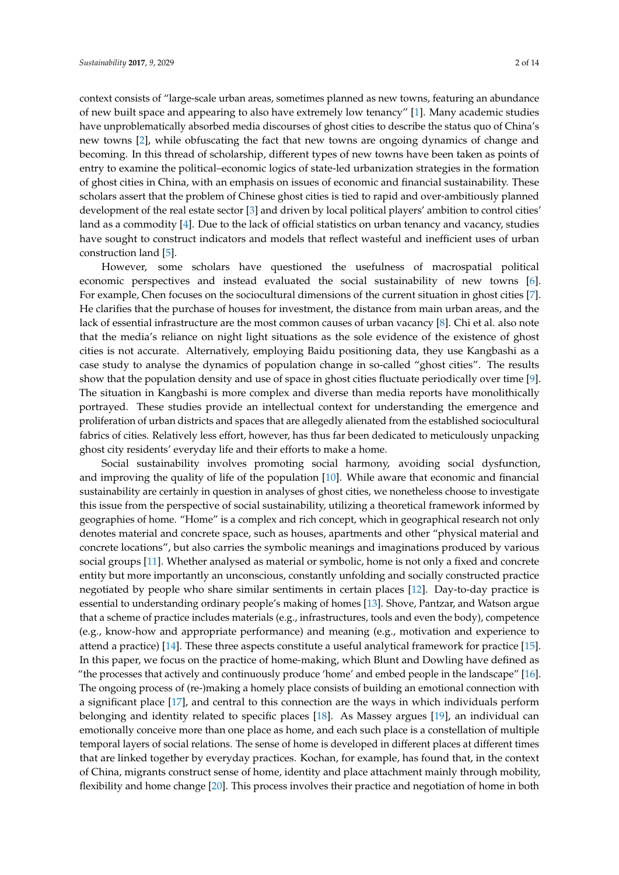context consists of "large-scale urban areas, sometimes planned as new towns, featuring an abundance of new built space and appearing to also have extremely low tenancy" [\[1\]](#page-11-0). Many academic studies have unproblematically absorbed media discourses of ghost cities to describe the status quo of China's new towns [\[2\]](#page-11-1), while obfuscating the fact that new towns are ongoing dynamics of change and becoming. In this thread of scholarship, different types of new towns have been taken as points of entry to examine the political–economic logics of state-led urbanization strategies in the formation of ghost cities in China, with an emphasis on issues of economic and financial sustainability. These scholars assert that the problem of Chinese ghost cities is tied to rapid and over-ambitiously planned development of the real estate sector [\[3\]](#page-11-2) and driven by local political players' ambition to control cities' land as a commodity [\[4\]](#page-11-3). Due to the lack of official statistics on urban tenancy and vacancy, studies have sought to construct indicators and models that reflect wasteful and inefficient uses of urban construction land [\[5\]](#page-11-4).

However, some scholars have questioned the usefulness of macrospatial political economic perspectives and instead evaluated the social sustainability of new towns [\[6\]](#page-11-5). For example, Chen focuses on the sociocultural dimensions of the current situation in ghost cities [\[7\]](#page-11-6). He clarifies that the purchase of houses for investment, the distance from main urban areas, and the lack of essential infrastructure are the most common causes of urban vacancy [\[8\]](#page-11-7). Chi et al. also note that the media's reliance on night light situations as the sole evidence of the existence of ghost cities is not accurate. Alternatively, employing Baidu positioning data, they use Kangbashi as a case study to analyse the dynamics of population change in so-called "ghost cities". The results show that the population density and use of space in ghost cities fluctuate periodically over time [\[9\]](#page-11-8). The situation in Kangbashi is more complex and diverse than media reports have monolithically portrayed. These studies provide an intellectual context for understanding the emergence and proliferation of urban districts and spaces that are allegedly alienated from the established sociocultural fabrics of cities. Relatively less effort, however, has thus far been dedicated to meticulously unpacking ghost city residents' everyday life and their efforts to make a home.

Social sustainability involves promoting social harmony, avoiding social dysfunction, and improving the quality of life of the population [\[10\]](#page-11-9). While aware that economic and financial sustainability are certainly in question in analyses of ghost cities, we nonetheless choose to investigate this issue from the perspective of social sustainability, utilizing a theoretical framework informed by geographies of home. "Home" is a complex and rich concept, which in geographical research not only denotes material and concrete space, such as houses, apartments and other "physical material and concrete locations", but also carries the symbolic meanings and imaginations produced by various social groups [\[11\]](#page-11-10). Whether analysed as material or symbolic, home is not only a fixed and concrete entity but more importantly an unconscious, constantly unfolding and socially constructed practice negotiated by people who share similar sentiments in certain places [\[12\]](#page-11-11). Day-to-day practice is essential to understanding ordinary people's making of homes [\[13\]](#page-11-12). Shove, Pantzar, and Watson argue that a scheme of practice includes materials (e.g., infrastructures, tools and even the body), competence (e.g., know-how and appropriate performance) and meaning (e.g., motivation and experience to attend a practice) [\[14\]](#page-11-13). These three aspects constitute a useful analytical framework for practice [\[15\]](#page-11-14). In this paper, we focus on the practice of home-making, which Blunt and Dowling have defined as "the processes that actively and continuously produce 'home' and embed people in the landscape" [\[16\]](#page-11-15). The ongoing process of (re-)making a homely place consists of building an emotional connection with a significant place [\[17\]](#page-11-16), and central to this connection are the ways in which individuals perform belonging and identity related to specific places [\[18\]](#page-11-17). As Massey argues [\[19\]](#page-11-18), an individual can emotionally conceive more than one place as home, and each such place is a constellation of multiple temporal layers of social relations. The sense of home is developed in different places at different times that are linked together by everyday practices. Kochan, for example, has found that, in the context of China, migrants construct sense of home, identity and place attachment mainly through mobility, flexibility and home change [\[20\]](#page-11-19). This process involves their practice and negotiation of home in both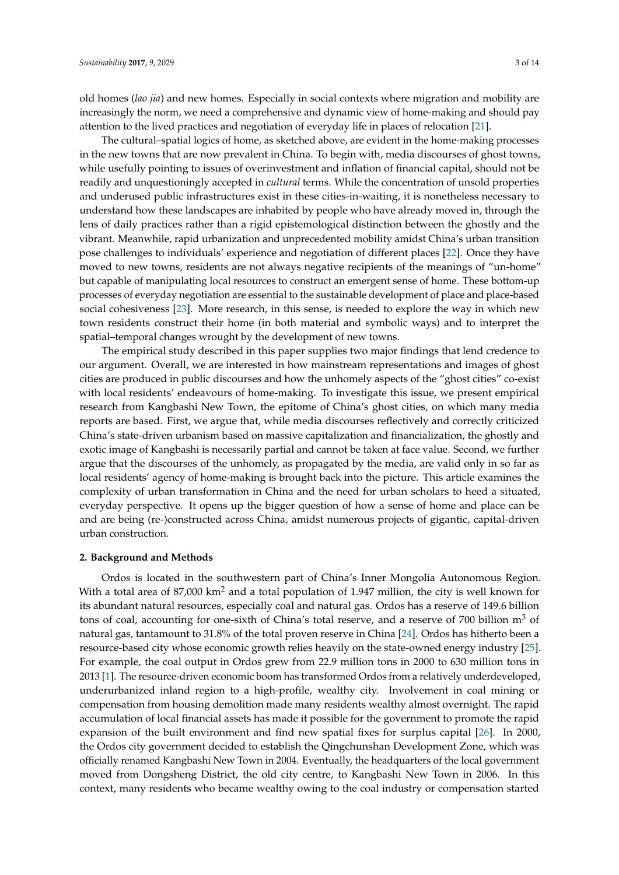old homes (*lao jia*) and new homes. Especially in social contexts where migration and mobility are increasingly the norm, we need a comprehensive and dynamic view of home-making and should pay attention to the lived practices and negotiation of everyday life in places of relocation [\[21\]](#page-12-0).

The cultural–spatial logics of home, as sketched above, are evident in the home-making processes in the new towns that are now prevalent in China. To begin with, media discourses of ghost towns, while usefully pointing to issues of overinvestment and inflation of financial capital, should not be readily and unquestioningly accepted in *cultural* terms. While the concentration of unsold properties and underused public infrastructures exist in these cities-in-waiting, it is nonetheless necessary to understand how these landscapes are inhabited by people who have already moved in, through the lens of daily practices rather than a rigid epistemological distinction between the ghostly and the vibrant. Meanwhile, rapid urbanization and unprecedented mobility amidst China's urban transition pose challenges to individuals' experience and negotiation of different places [\[22\]](#page-12-1). Once they have moved to new towns, residents are not always negative recipients of the meanings of "un-home" but capable of manipulating local resources to construct an emergent sense of home. These bottom-up processes of everyday negotiation are essential to the sustainable development of place and place-based social cohesiveness [\[23\]](#page-12-2). More research, in this sense, is needed to explore the way in which new town residents construct their home (in both material and symbolic ways) and to interpret the spatial–temporal changes wrought by the development of new towns.

The empirical study described in this paper supplies two major findings that lend credence to our argument. Overall, we are interested in how mainstream representations and images of ghost cities are produced in public discourses and how the unhomely aspects of the "ghost cities" co-exist with local residents' endeavours of home-making. To investigate this issue, we present empirical research from Kangbashi New Town, the epitome of China's ghost cities, on which many media reports are based. First, we argue that, while media discourses reflectively and correctly criticized China's state-driven urbanism based on massive capitalization and financialization, the ghostly and exotic image of Kangbashi is necessarily partial and cannot be taken at face value. Second, we further argue that the discourses of the unhomely, as propagated by the media, are valid only in so far as local residents' agency of home-making is brought back into the picture. This article examines the complexity of urban transformation in China and the need for urban scholars to heed a situated, everyday perspective. It opens up the bigger question of how a sense of home and place can be and are being (re-)constructed across China, amidst numerous projects of gigantic, capital-driven urban construction.

#### **2. Background and Methods**

Ordos is located in the southwestern part of China's Inner Mongolia Autonomous Region. With a total area of 87,000 km<sup>2</sup> and a total population of 1.947 million, the city is well known for its abundant natural resources, especially coal and natural gas. Ordos has a reserve of 149.6 billion tons of coal, accounting for one-sixth of China's total reserve, and a reserve of 700 billion  $m<sup>3</sup>$  of natural gas, tantamount to 31.8% of the total proven reserve in China [\[24\]](#page-12-3). Ordos has hitherto been a resource-based city whose economic growth relies heavily on the state-owned energy industry [\[25\]](#page-12-4). For example, the coal output in Ordos grew from 22.9 million tons in 2000 to 630 million tons in 2013 [\[1\]](#page-11-0). The resource-driven economic boom has transformed Ordos from a relatively underdeveloped, underurbanized inland region to a high-profile, wealthy city. Involvement in coal mining or compensation from housing demolition made many residents wealthy almost overnight. The rapid accumulation of local financial assets has made it possible for the government to promote the rapid expansion of the built environment and find new spatial fixes for surplus capital [\[26\]](#page-12-5). In 2000, the Ordos city government decided to establish the Qingchunshan Development Zone, which was officially renamed Kangbashi New Town in 2004. Eventually, the headquarters of the local government moved from Dongsheng District, the old city centre, to Kangbashi New Town in 2006. In this context, many residents who became wealthy owing to the coal industry or compensation started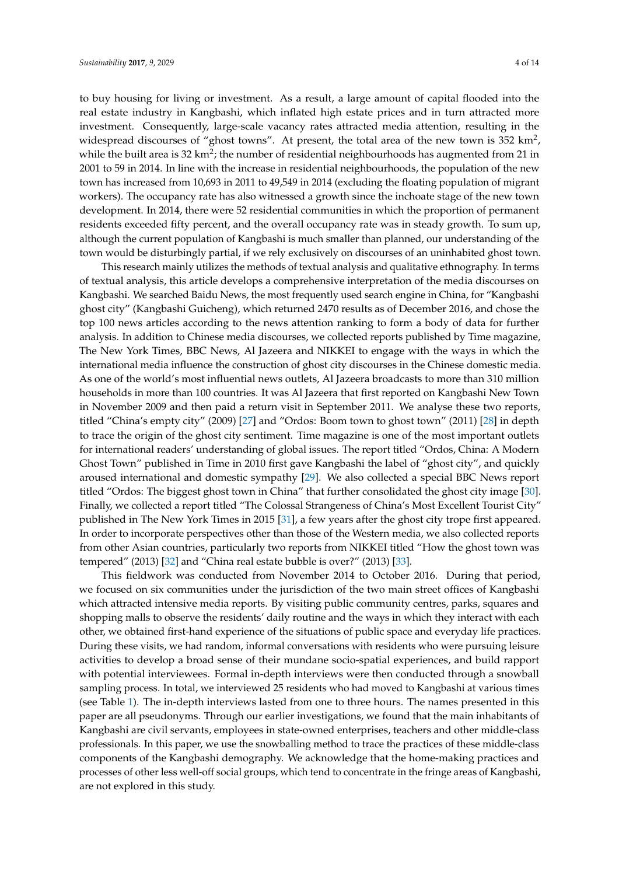to buy housing for living or investment. As a result, a large amount of capital flooded into the real estate industry in Kangbashi, which inflated high estate prices and in turn attracted more investment. Consequently, large-scale vacancy rates attracted media attention, resulting in the widespread discourses of "ghost towns". At present, the total area of the new town is  $352 \text{ km}^2$ , while the built area is 32 km<sup>2</sup>; the number of residential neighbourhoods has augmented from 21 in 2001 to 59 in 2014. In line with the increase in residential neighbourhoods, the population of the new town has increased from 10,693 in 2011 to 49,549 in 2014 (excluding the floating population of migrant workers). The occupancy rate has also witnessed a growth since the inchoate stage of the new town development. In 2014, there were 52 residential communities in which the proportion of permanent residents exceeded fifty percent, and the overall occupancy rate was in steady growth. To sum up, although the current population of Kangbashi is much smaller than planned, our understanding of the town would be disturbingly partial, if we rely exclusively on discourses of an uninhabited ghost town.

This research mainly utilizes the methods of textual analysis and qualitative ethnography. In terms of textual analysis, this article develops a comprehensive interpretation of the media discourses on Kangbashi. We searched Baidu News, the most frequently used search engine in China, for "Kangbashi ghost city" (Kangbashi Guicheng), which returned 2470 results as of December 2016, and chose the top 100 news articles according to the news attention ranking to form a body of data for further analysis. In addition to Chinese media discourses, we collected reports published by Time magazine, The New York Times, BBC News, Al Jazeera and NIKKEI to engage with the ways in which the international media influence the construction of ghost city discourses in the Chinese domestic media. As one of the world's most influential news outlets, Al Jazeera broadcasts to more than 310 million households in more than 100 countries. It was Al Jazeera that first reported on Kangbashi New Town in November 2009 and then paid a return visit in September 2011. We analyse these two reports, titled "China's empty city" (2009) [\[27\]](#page-12-6) and "Ordos: Boom town to ghost town" (2011) [\[28\]](#page-12-7) in depth to trace the origin of the ghost city sentiment. Time magazine is one of the most important outlets for international readers' understanding of global issues. The report titled "Ordos, China: A Modern Ghost Town" published in Time in 2010 first gave Kangbashi the label of "ghost city", and quickly aroused international and domestic sympathy [\[29\]](#page-12-8). We also collected a special BBC News report titled "Ordos: The biggest ghost town in China" that further consolidated the ghost city image [\[30\]](#page-12-9). Finally, we collected a report titled "The Colossal Strangeness of China's Most Excellent Tourist City" published in The New York Times in 2015 [\[31\]](#page-12-10), a few years after the ghost city trope first appeared. In order to incorporate perspectives other than those of the Western media, we also collected reports from other Asian countries, particularly two reports from NIKKEI titled "How the ghost town was tempered" (2013) [\[32\]](#page-12-11) and "China real estate bubble is over?" (2013) [\[33\]](#page-12-12).

This fieldwork was conducted from November 2014 to October 2016. During that period, we focused on six communities under the jurisdiction of the two main street offices of Kangbashi which attracted intensive media reports. By visiting public community centres, parks, squares and shopping malls to observe the residents' daily routine and the ways in which they interact with each other, we obtained first-hand experience of the situations of public space and everyday life practices. During these visits, we had random, informal conversations with residents who were pursuing leisure activities to develop a broad sense of their mundane socio-spatial experiences, and build rapport with potential interviewees. Formal in-depth interviews were then conducted through a snowball sampling process. In total, we interviewed 25 residents who had moved to Kangbashi at various times (see Table [1\)](#page-4-0). The in-depth interviews lasted from one to three hours. The names presented in this paper are all pseudonyms. Through our earlier investigations, we found that the main inhabitants of Kangbashi are civil servants, employees in state-owned enterprises, teachers and other middle-class professionals. In this paper, we use the snowballing method to trace the practices of these middle-class components of the Kangbashi demography. We acknowledge that the home-making practices and processes of other less well-off social groups, which tend to concentrate in the fringe areas of Kangbashi, are not explored in this study.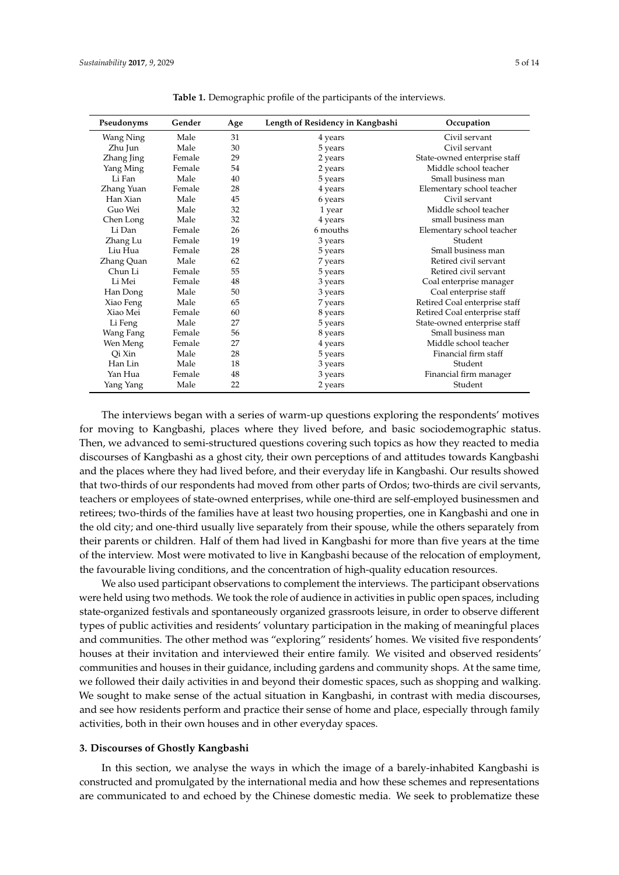<span id="page-4-0"></span>

| Pseudonyms | Gender | Age | Length of Residency in Kangbashi | Occupation                    |
|------------|--------|-----|----------------------------------|-------------------------------|
| Wang Ning  | Male   | 31  | 4 years                          | Civil servant                 |
| Zhu Jun    | Male   | 30  | 5 years                          | Civil servant                 |
| Zhang Jing | Female | 29  | 2 years                          | State-owned enterprise staff  |
| Yang Ming  | Female | 54  | 2 years                          | Middle school teacher         |
| Li Fan     | Male   | 40  | 5 years                          | Small business man            |
| Zhang Yuan | Female | 28  | 4 years                          | Elementary school teacher     |
| Han Xian   | Male   | 45  | 6 years                          | Civil servant                 |
| Guo Wei    | Male   | 32  | 1 year                           | Middle school teacher         |
| Chen Long  | Male   | 32  | 4 years                          | small business man            |
| Li Dan     | Female | 26  | 6 mouths                         | Elementary school teacher     |
| Zhang Lu   | Female | 19  | 3 years                          | Student                       |
| Liu Hua    | Female | 28  | 5 years                          | Small business man            |
| Zhang Quan | Male   | 62  | 7 years                          | Retired civil servant         |
| Chun Li    | Female | 55  | 5 years                          | Retired civil servant         |
| Li Mei     | Female | 48  | 3 years                          | Coal enterprise manager       |
| Han Dong   | Male   | 50  | 3 years                          | Coal enterprise staff         |
| Xiao Feng  | Male   | 65  | 7 years                          | Retired Coal enterprise staff |
| Xiao Mei   | Female | 60  | 8 years                          | Retired Coal enterprise staff |
| Li Feng    | Male   | 27  | 5 years                          | State-owned enterprise staff  |
| Wang Fang  | Female | 56  | 8 years                          | Small business man            |
| Wen Meng   | Female | 27  | 4 years                          | Middle school teacher         |
| Oi Xin     | Male   | 28  | 5 years                          | Financial firm staff          |
| Han Lin    | Male   | 18  | 3 years                          | Student                       |
| Yan Hua    | Female | 48  | 3 years                          | Financial firm manager        |
| Yang Yang  | Male   | 22  | 2 years                          | Student                       |

**Table 1.** Demographic profile of the participants of the interviews.

The interviews began with a series of warm-up questions exploring the respondents' motives for moving to Kangbashi, places where they lived before, and basic sociodemographic status. Then, we advanced to semi-structured questions covering such topics as how they reacted to media discourses of Kangbashi as a ghost city, their own perceptions of and attitudes towards Kangbashi and the places where they had lived before, and their everyday life in Kangbashi. Our results showed that two-thirds of our respondents had moved from other parts of Ordos; two-thirds are civil servants, teachers or employees of state-owned enterprises, while one-third are self-employed businessmen and retirees; two-thirds of the families have at least two housing properties, one in Kangbashi and one in the old city; and one-third usually live separately from their spouse, while the others separately from their parents or children. Half of them had lived in Kangbashi for more than five years at the time of the interview. Most were motivated to live in Kangbashi because of the relocation of employment, the favourable living conditions, and the concentration of high-quality education resources.

We also used participant observations to complement the interviews. The participant observations were held using two methods. We took the role of audience in activities in public open spaces, including state-organized festivals and spontaneously organized grassroots leisure, in order to observe different types of public activities and residents' voluntary participation in the making of meaningful places and communities. The other method was "exploring" residents' homes. We visited five respondents' houses at their invitation and interviewed their entire family. We visited and observed residents' communities and houses in their guidance, including gardens and community shops. At the same time, we followed their daily activities in and beyond their domestic spaces, such as shopping and walking. We sought to make sense of the actual situation in Kangbashi, in contrast with media discourses, and see how residents perform and practice their sense of home and place, especially through family activities, both in their own houses and in other everyday spaces.

#### **3. Discourses of Ghostly Kangbashi**

In this section, we analyse the ways in which the image of a barely-inhabited Kangbashi is constructed and promulgated by the international media and how these schemes and representations are communicated to and echoed by the Chinese domestic media. We seek to problematize these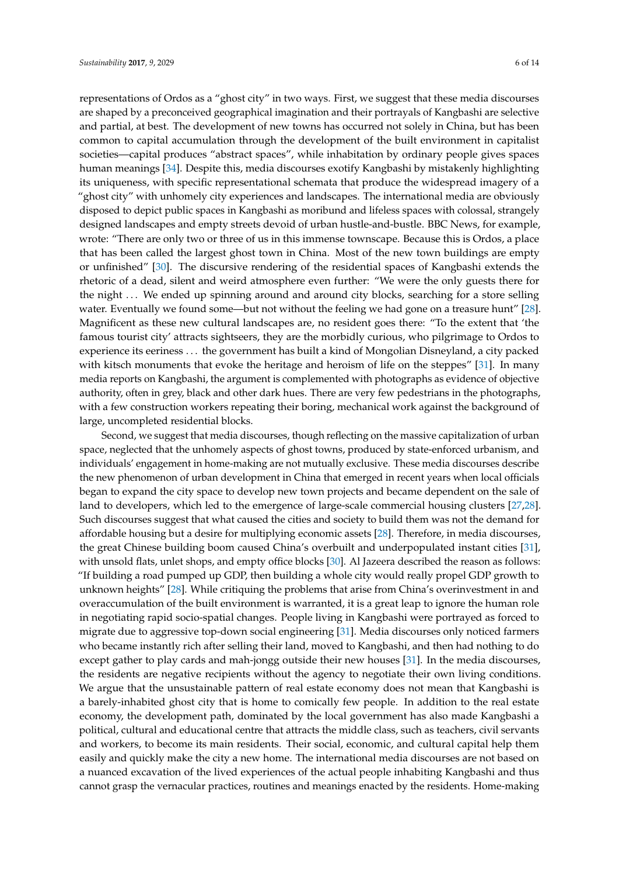representations of Ordos as a "ghost city" in two ways. First, we suggest that these media discourses are shaped by a preconceived geographical imagination and their portrayals of Kangbashi are selective and partial, at best. The development of new towns has occurred not solely in China, but has been common to capital accumulation through the development of the built environment in capitalist societies—capital produces "abstract spaces", while inhabitation by ordinary people gives spaces human meanings [\[34\]](#page-12-13). Despite this, media discourses exotify Kangbashi by mistakenly highlighting its uniqueness, with specific representational schemata that produce the widespread imagery of a "ghost city" with unhomely city experiences and landscapes. The international media are obviously disposed to depict public spaces in Kangbashi as moribund and lifeless spaces with colossal, strangely designed landscapes and empty streets devoid of urban hustle-and-bustle. BBC News, for example, wrote: "There are only two or three of us in this immense townscape. Because this is Ordos, a place that has been called the largest ghost town in China. Most of the new town buildings are empty or unfinished" [\[30\]](#page-12-9). The discursive rendering of the residential spaces of Kangbashi extends the rhetoric of a dead, silent and weird atmosphere even further: "We were the only guests there for the night ... We ended up spinning around and around city blocks, searching for a store selling water. Eventually we found some—but not without the feeling we had gone on a treasure hunt" [\[28\]](#page-12-7). Magnificent as these new cultural landscapes are, no resident goes there: "To the extent that 'the famous tourist city' attracts sightseers, they are the morbidly curious, who pilgrimage to Ordos to experience its eeriness . . . the government has built a kind of Mongolian Disneyland, a city packed with kitsch monuments that evoke the heritage and heroism of life on the steppes" [\[31\]](#page-12-10). In many media reports on Kangbashi, the argument is complemented with photographs as evidence of objective authority, often in grey, black and other dark hues. There are very few pedestrians in the photographs, with a few construction workers repeating their boring, mechanical work against the background of large, uncompleted residential blocks.

Second, we suggest that media discourses, though reflecting on the massive capitalization of urban space, neglected that the unhomely aspects of ghost towns, produced by state-enforced urbanism, and individuals' engagement in home-making are not mutually exclusive. These media discourses describe the new phenomenon of urban development in China that emerged in recent years when local officials began to expand the city space to develop new town projects and became dependent on the sale of land to developers, which led to the emergence of large-scale commercial housing clusters [\[27,](#page-12-6)[28\]](#page-12-7). Such discourses suggest that what caused the cities and society to build them was not the demand for affordable housing but a desire for multiplying economic assets [\[28\]](#page-12-7). Therefore, in media discourses, the great Chinese building boom caused China's overbuilt and underpopulated instant cities [\[31\]](#page-12-10), with unsold flats, unlet shops, and empty office blocks [\[30\]](#page-12-9). Al Jazeera described the reason as follows: "If building a road pumped up GDP, then building a whole city would really propel GDP growth to unknown heights" [\[28\]](#page-12-7). While critiquing the problems that arise from China's overinvestment in and overaccumulation of the built environment is warranted, it is a great leap to ignore the human role in negotiating rapid socio-spatial changes. People living in Kangbashi were portrayed as forced to migrate due to aggressive top-down social engineering [\[31\]](#page-12-10). Media discourses only noticed farmers who became instantly rich after selling their land, moved to Kangbashi, and then had nothing to do except gather to play cards and mah-jongg outside their new houses [\[31\]](#page-12-10). In the media discourses, the residents are negative recipients without the agency to negotiate their own living conditions. We argue that the unsustainable pattern of real estate economy does not mean that Kangbashi is a barely-inhabited ghost city that is home to comically few people. In addition to the real estate economy, the development path, dominated by the local government has also made Kangbashi a political, cultural and educational centre that attracts the middle class, such as teachers, civil servants and workers, to become its main residents. Their social, economic, and cultural capital help them easily and quickly make the city a new home. The international media discourses are not based on a nuanced excavation of the lived experiences of the actual people inhabiting Kangbashi and thus cannot grasp the vernacular practices, routines and meanings enacted by the residents. Home-making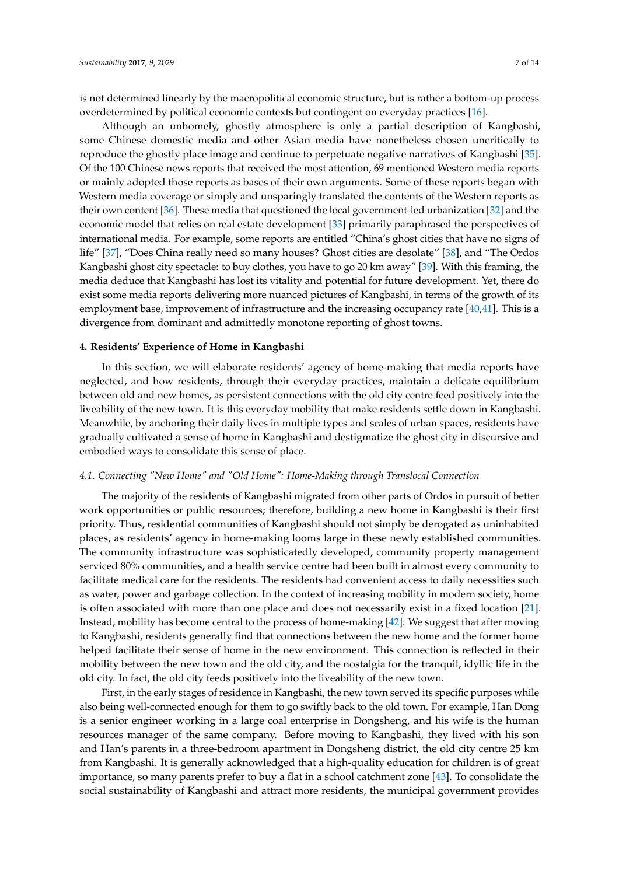is not determined linearly by the macropolitical economic structure, but is rather a bottom-up process overdetermined by political economic contexts but contingent on everyday practices [\[16\]](#page-11-15).

Although an unhomely, ghostly atmosphere is only a partial description of Kangbashi, some Chinese domestic media and other Asian media have nonetheless chosen uncritically to reproduce the ghostly place image and continue to perpetuate negative narratives of Kangbashi [\[35\]](#page-12-14). Of the 100 Chinese news reports that received the most attention, 69 mentioned Western media reports or mainly adopted those reports as bases of their own arguments. Some of these reports began with Western media coverage or simply and unsparingly translated the contents of the Western reports as their own content [\[36\]](#page-12-15). These media that questioned the local government-led urbanization [\[32\]](#page-12-11) and the economic model that relies on real estate development [\[33\]](#page-12-12) primarily paraphrased the perspectives of international media. For example, some reports are entitled "China's ghost cities that have no signs of life" [\[37\]](#page-12-16), "Does China really need so many houses? Ghost cities are desolate" [\[38\]](#page-12-17), and "The Ordos Kangbashi ghost city spectacle: to buy clothes, you have to go 20 km away" [\[39\]](#page-12-18). With this framing, the media deduce that Kangbashi has lost its vitality and potential for future development. Yet, there do exist some media reports delivering more nuanced pictures of Kangbashi, in terms of the growth of its employment base, improvement of infrastructure and the increasing occupancy rate [\[40](#page-12-19)[,41\]](#page-12-20). This is a divergence from dominant and admittedly monotone reporting of ghost towns.

## **4. Residents' Experience of Home in Kangbashi**

In this section, we will elaborate residents' agency of home-making that media reports have neglected, and how residents, through their everyday practices, maintain a delicate equilibrium between old and new homes, as persistent connections with the old city centre feed positively into the liveability of the new town. It is this everyday mobility that make residents settle down in Kangbashi. Meanwhile, by anchoring their daily lives in multiple types and scales of urban spaces, residents have gradually cultivated a sense of home in Kangbashi and destigmatize the ghost city in discursive and embodied ways to consolidate this sense of place.

#### *4.1. Connecting "New Home" and "Old Home": Home-Making through Translocal Connection*

The majority of the residents of Kangbashi migrated from other parts of Ordos in pursuit of better work opportunities or public resources; therefore, building a new home in Kangbashi is their first priority. Thus, residential communities of Kangbashi should not simply be derogated as uninhabited places, as residents' agency in home-making looms large in these newly established communities. The community infrastructure was sophisticatedly developed, community property management serviced 80% communities, and a health service centre had been built in almost every community to facilitate medical care for the residents. The residents had convenient access to daily necessities such as water, power and garbage collection. In the context of increasing mobility in modern society, home is often associated with more than one place and does not necessarily exist in a fixed location [\[21\]](#page-12-0). Instead, mobility has become central to the process of home-making [\[42\]](#page-12-21). We suggest that after moving to Kangbashi, residents generally find that connections between the new home and the former home helped facilitate their sense of home in the new environment. This connection is reflected in their mobility between the new town and the old city, and the nostalgia for the tranquil, idyllic life in the old city. In fact, the old city feeds positively into the liveability of the new town.

First, in the early stages of residence in Kangbashi, the new town served its specific purposes while also being well-connected enough for them to go swiftly back to the old town. For example, Han Dong is a senior engineer working in a large coal enterprise in Dongsheng, and his wife is the human resources manager of the same company. Before moving to Kangbashi, they lived with his son and Han's parents in a three-bedroom apartment in Dongsheng district, the old city centre 25 km from Kangbashi. It is generally acknowledged that a high-quality education for children is of great importance, so many parents prefer to buy a flat in a school catchment zone [\[43\]](#page-12-22). To consolidate the social sustainability of Kangbashi and attract more residents, the municipal government provides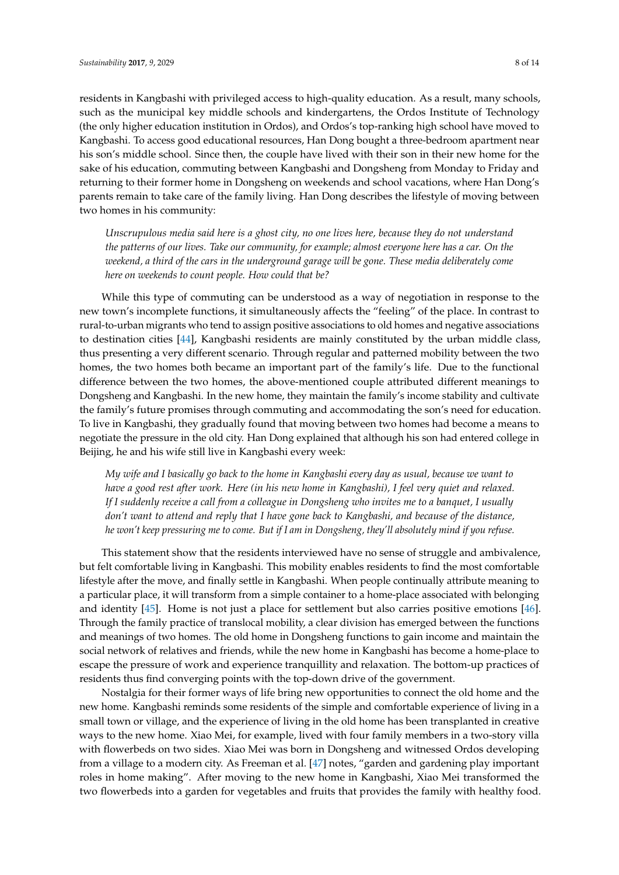residents in Kangbashi with privileged access to high-quality education. As a result, many schools, such as the municipal key middle schools and kindergartens, the Ordos Institute of Technology (the only higher education institution in Ordos), and Ordos's top-ranking high school have moved to Kangbashi. To access good educational resources, Han Dong bought a three-bedroom apartment near his son's middle school. Since then, the couple have lived with their son in their new home for the sake of his education, commuting between Kangbashi and Dongsheng from Monday to Friday and returning to their former home in Dongsheng on weekends and school vacations, where Han Dong's parents remain to take care of the family living. Han Dong describes the lifestyle of moving between two homes in his community:

*Unscrupulous media said here is a ghost city, no one lives here, because they do not understand the patterns of our lives. Take our community, for example; almost everyone here has a car. On the weekend, a third of the cars in the underground garage will be gone. These media deliberately come here on weekends to count people. How could that be?*

While this type of commuting can be understood as a way of negotiation in response to the new town's incomplete functions, it simultaneously affects the "feeling" of the place. In contrast to rural-to-urban migrants who tend to assign positive associations to old homes and negative associations to destination cities [\[44\]](#page-12-23), Kangbashi residents are mainly constituted by the urban middle class, thus presenting a very different scenario. Through regular and patterned mobility between the two homes, the two homes both became an important part of the family's life. Due to the functional difference between the two homes, the above-mentioned couple attributed different meanings to Dongsheng and Kangbashi. In the new home, they maintain the family's income stability and cultivate the family's future promises through commuting and accommodating the son's need for education. To live in Kangbashi, they gradually found that moving between two homes had become a means to negotiate the pressure in the old city. Han Dong explained that although his son had entered college in Beijing, he and his wife still live in Kangbashi every week:

*My wife and I basically go back to the home in Kangbashi every day as usual, because we want to have a good rest after work. Here (in his new home in Kangbashi), I feel very quiet and relaxed. If I suddenly receive a call from a colleague in Dongsheng who invites me to a banquet, I usually don't want to attend and reply that I have gone back to Kangbashi, and because of the distance, he won't keep pressuring me to come. But if I am in Dongsheng, they'll absolutely mind if you refuse.*

This statement show that the residents interviewed have no sense of struggle and ambivalence, but felt comfortable living in Kangbashi. This mobility enables residents to find the most comfortable lifestyle after the move, and finally settle in Kangbashi. When people continually attribute meaning to a particular place, it will transform from a simple container to a home-place associated with belonging and identity [\[45\]](#page-12-24). Home is not just a place for settlement but also carries positive emotions [\[46\]](#page-12-25). Through the family practice of translocal mobility, a clear division has emerged between the functions and meanings of two homes. The old home in Dongsheng functions to gain income and maintain the social network of relatives and friends, while the new home in Kangbashi has become a home-place to escape the pressure of work and experience tranquillity and relaxation. The bottom-up practices of residents thus find converging points with the top-down drive of the government.

Nostalgia for their former ways of life bring new opportunities to connect the old home and the new home. Kangbashi reminds some residents of the simple and comfortable experience of living in a small town or village, and the experience of living in the old home has been transplanted in creative ways to the new home. Xiao Mei, for example, lived with four family members in a two-story villa with flowerbeds on two sides. Xiao Mei was born in Dongsheng and witnessed Ordos developing from a village to a modern city. As Freeman et al. [\[47\]](#page-12-26) notes, "garden and gardening play important roles in home making". After moving to the new home in Kangbashi, Xiao Mei transformed the two flowerbeds into a garden for vegetables and fruits that provides the family with healthy food.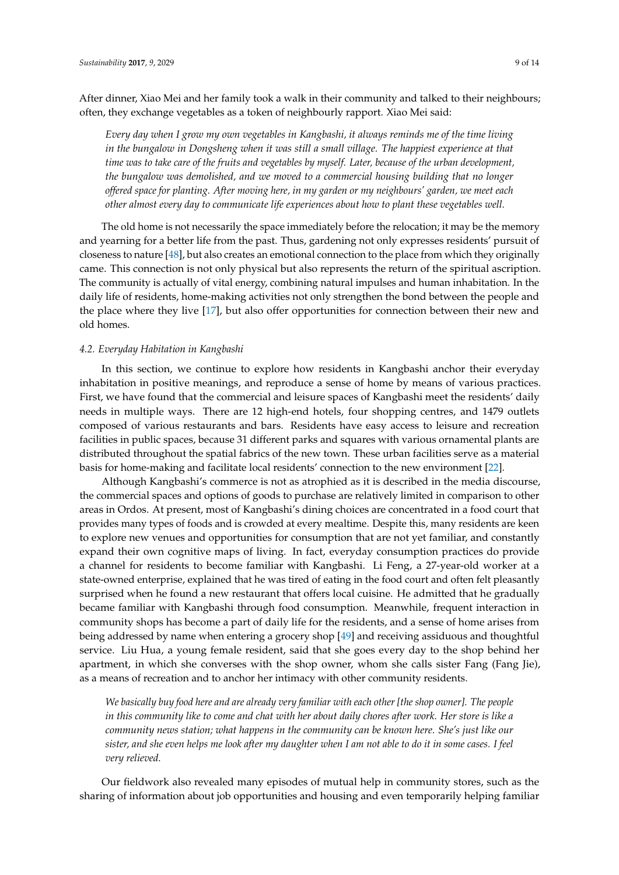After dinner, Xiao Mei and her family took a walk in their community and talked to their neighbours; often, they exchange vegetables as a token of neighbourly rapport. Xiao Mei said:

*Every day when I grow my own vegetables in Kangbashi, it always reminds me of the time living in the bungalow in Dongsheng when it was still a small village. The happiest experience at that time was to take care of the fruits and vegetables by myself. Later, because of the urban development, the bungalow was demolished, and we moved to a commercial housing building that no longer offered space for planting. After moving here, in my garden or my neighbours' garden, we meet each other almost every day to communicate life experiences about how to plant these vegetables well.*

The old home is not necessarily the space immediately before the relocation; it may be the memory and yearning for a better life from the past. Thus, gardening not only expresses residents' pursuit of closeness to nature [\[48\]](#page-13-0), but also creates an emotional connection to the place from which they originally came. This connection is not only physical but also represents the return of the spiritual ascription. The community is actually of vital energy, combining natural impulses and human inhabitation. In the daily life of residents, home-making activities not only strengthen the bond between the people and the place where they live [\[17\]](#page-11-16), but also offer opportunities for connection between their new and old homes.

### *4.2. Everyday Habitation in Kangbashi*

In this section, we continue to explore how residents in Kangbashi anchor their everyday inhabitation in positive meanings, and reproduce a sense of home by means of various practices. First, we have found that the commercial and leisure spaces of Kangbashi meet the residents' daily needs in multiple ways. There are 12 high-end hotels, four shopping centres, and 1479 outlets composed of various restaurants and bars. Residents have easy access to leisure and recreation facilities in public spaces, because 31 different parks and squares with various ornamental plants are distributed throughout the spatial fabrics of the new town. These urban facilities serve as a material basis for home-making and facilitate local residents' connection to the new environment [\[22\]](#page-12-1).

Although Kangbashi's commerce is not as atrophied as it is described in the media discourse, the commercial spaces and options of goods to purchase are relatively limited in comparison to other areas in Ordos. At present, most of Kangbashi's dining choices are concentrated in a food court that provides many types of foods and is crowded at every mealtime. Despite this, many residents are keen to explore new venues and opportunities for consumption that are not yet familiar, and constantly expand their own cognitive maps of living. In fact, everyday consumption practices do provide a channel for residents to become familiar with Kangbashi. Li Feng, a 27-year-old worker at a state-owned enterprise, explained that he was tired of eating in the food court and often felt pleasantly surprised when he found a new restaurant that offers local cuisine. He admitted that he gradually became familiar with Kangbashi through food consumption. Meanwhile, frequent interaction in community shops has become a part of daily life for the residents, and a sense of home arises from being addressed by name when entering a grocery shop [\[49\]](#page-13-1) and receiving assiduous and thoughtful service. Liu Hua, a young female resident, said that she goes every day to the shop behind her apartment, in which she converses with the shop owner, whom she calls sister Fang (Fang Jie), as a means of recreation and to anchor her intimacy with other community residents.

*We basically buy food here and are already very familiar with each other [the shop owner]. The people in this community like to come and chat with her about daily chores after work. Her store is like a community news station; what happens in the community can be known here. She's just like our sister, and she even helps me look after my daughter when I am not able to do it in some cases. I feel very relieved.*

Our fieldwork also revealed many episodes of mutual help in community stores, such as the sharing of information about job opportunities and housing and even temporarily helping familiar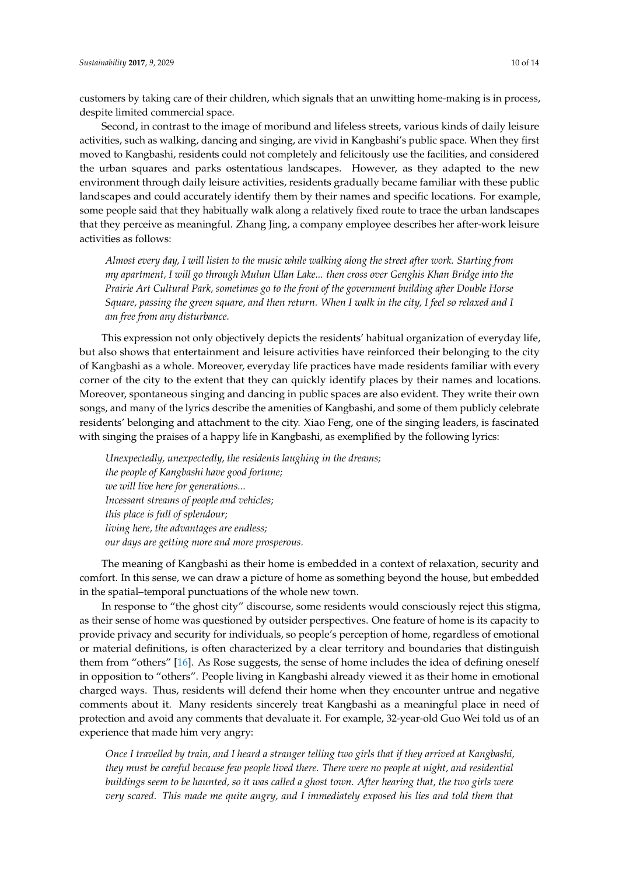customers by taking care of their children, which signals that an unwitting home-making is in process, despite limited commercial space.

Second, in contrast to the image of moribund and lifeless streets, various kinds of daily leisure activities, such as walking, dancing and singing, are vivid in Kangbashi's public space. When they first moved to Kangbashi, residents could not completely and felicitously use the facilities, and considered the urban squares and parks ostentatious landscapes. However, as they adapted to the new environment through daily leisure activities, residents gradually became familiar with these public landscapes and could accurately identify them by their names and specific locations. For example, some people said that they habitually walk along a relatively fixed route to trace the urban landscapes that they perceive as meaningful. Zhang Jing, a company employee describes her after-work leisure activities as follows:

*Almost every day, I will listen to the music while walking along the street after work. Starting from my apartment, I will go through Mulun Ulan Lake... then cross over Genghis Khan Bridge into the Prairie Art Cultural Park, sometimes go to the front of the government building after Double Horse Square, passing the green square, and then return. When I walk in the city, I feel so relaxed and I am free from any disturbance.*

This expression not only objectively depicts the residents' habitual organization of everyday life, but also shows that entertainment and leisure activities have reinforced their belonging to the city of Kangbashi as a whole. Moreover, everyday life practices have made residents familiar with every corner of the city to the extent that they can quickly identify places by their names and locations. Moreover, spontaneous singing and dancing in public spaces are also evident. They write their own songs, and many of the lyrics describe the amenities of Kangbashi, and some of them publicly celebrate residents' belonging and attachment to the city. Xiao Feng, one of the singing leaders, is fascinated with singing the praises of a happy life in Kangbashi, as exemplified by the following lyrics:

*Unexpectedly, unexpectedly, the residents laughing in the dreams; the people of Kangbashi have good fortune; we will live here for generations... Incessant streams of people and vehicles; this place is full of splendour; living here, the advantages are endless; our days are getting more and more prosperous.*

The meaning of Kangbashi as their home is embedded in a context of relaxation, security and comfort. In this sense, we can draw a picture of home as something beyond the house, but embedded in the spatial–temporal punctuations of the whole new town.

In response to "the ghost city" discourse, some residents would consciously reject this stigma, as their sense of home was questioned by outsider perspectives. One feature of home is its capacity to provide privacy and security for individuals, so people's perception of home, regardless of emotional or material definitions, is often characterized by a clear territory and boundaries that distinguish them from "others" [\[16\]](#page-11-15). As Rose suggests, the sense of home includes the idea of defining oneself in opposition to "others". People living in Kangbashi already viewed it as their home in emotional charged ways. Thus, residents will defend their home when they encounter untrue and negative comments about it. Many residents sincerely treat Kangbashi as a meaningful place in need of protection and avoid any comments that devaluate it. For example, 32-year-old Guo Wei told us of an experience that made him very angry:

*Once I travelled by train, and I heard a stranger telling two girls that if they arrived at Kangbashi, they must be careful because few people lived there. There were no people at night, and residential buildings seem to be haunted, so it was called a ghost town. After hearing that, the two girls were very scared. This made me quite angry, and I immediately exposed his lies and told them that*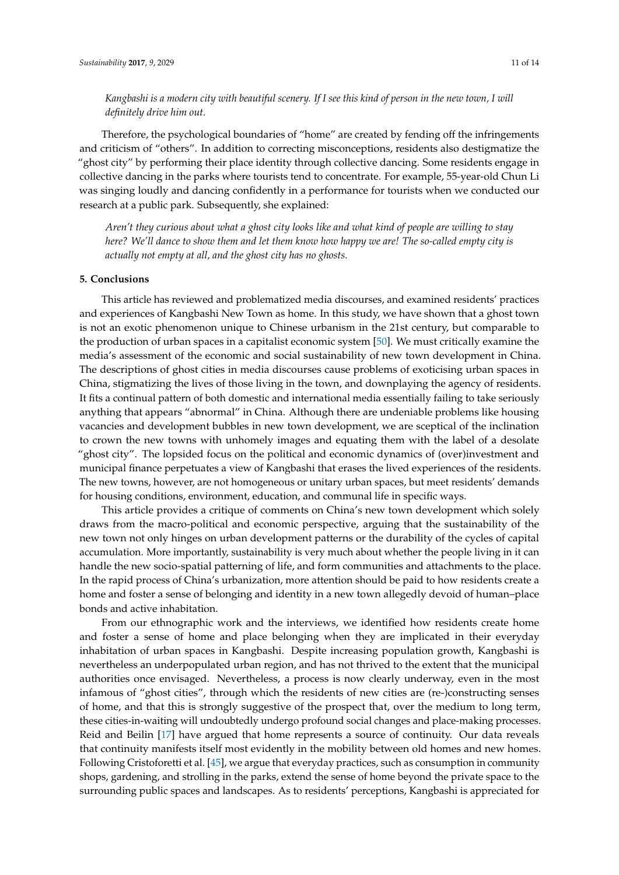# *Kangbashi is a modern city with beautiful scenery. If I see this kind of person in the new town, I will definitely drive him out.*

Therefore, the psychological boundaries of "home" are created by fending off the infringements and criticism of "others". In addition to correcting misconceptions, residents also destigmatize the "ghost city" by performing their place identity through collective dancing. Some residents engage in collective dancing in the parks where tourists tend to concentrate. For example, 55-year-old Chun Li was singing loudly and dancing confidently in a performance for tourists when we conducted our research at a public park. Subsequently, she explained:

*Aren't they curious about what a ghost city looks like and what kind of people are willing to stay here? We'll dance to show them and let them know how happy we are! The so-called empty city is actually not empty at all, and the ghost city has no ghosts.*

#### **5. Conclusions**

This article has reviewed and problematized media discourses, and examined residents' practices and experiences of Kangbashi New Town as home. In this study, we have shown that a ghost town is not an exotic phenomenon unique to Chinese urbanism in the 21st century, but comparable to the production of urban spaces in a capitalist economic system [\[50\]](#page-13-2). We must critically examine the media's assessment of the economic and social sustainability of new town development in China. The descriptions of ghost cities in media discourses cause problems of exoticising urban spaces in China, stigmatizing the lives of those living in the town, and downplaying the agency of residents. It fits a continual pattern of both domestic and international media essentially failing to take seriously anything that appears "abnormal" in China. Although there are undeniable problems like housing vacancies and development bubbles in new town development, we are sceptical of the inclination to crown the new towns with unhomely images and equating them with the label of a desolate "ghost city". The lopsided focus on the political and economic dynamics of (over)investment and municipal finance perpetuates a view of Kangbashi that erases the lived experiences of the residents. The new towns, however, are not homogeneous or unitary urban spaces, but meet residents' demands for housing conditions, environment, education, and communal life in specific ways.

This article provides a critique of comments on China's new town development which solely draws from the macro-political and economic perspective, arguing that the sustainability of the new town not only hinges on urban development patterns or the durability of the cycles of capital accumulation. More importantly, sustainability is very much about whether the people living in it can handle the new socio-spatial patterning of life, and form communities and attachments to the place. In the rapid process of China's urbanization, more attention should be paid to how residents create a home and foster a sense of belonging and identity in a new town allegedly devoid of human–place bonds and active inhabitation.

From our ethnographic work and the interviews, we identified how residents create home and foster a sense of home and place belonging when they are implicated in their everyday inhabitation of urban spaces in Kangbashi. Despite increasing population growth, Kangbashi is nevertheless an underpopulated urban region, and has not thrived to the extent that the municipal authorities once envisaged. Nevertheless, a process is now clearly underway, even in the most infamous of "ghost cities", through which the residents of new cities are (re-)constructing senses of home, and that this is strongly suggestive of the prospect that, over the medium to long term, these cities-in-waiting will undoubtedly undergo profound social changes and place-making processes. Reid and Beilin [\[17\]](#page-11-16) have argued that home represents a source of continuity. Our data reveals that continuity manifests itself most evidently in the mobility between old homes and new homes. Following Cristoforetti et al. [\[45\]](#page-12-24), we argue that everyday practices, such as consumption in community shops, gardening, and strolling in the parks, extend the sense of home beyond the private space to the surrounding public spaces and landscapes. As to residents' perceptions, Kangbashi is appreciated for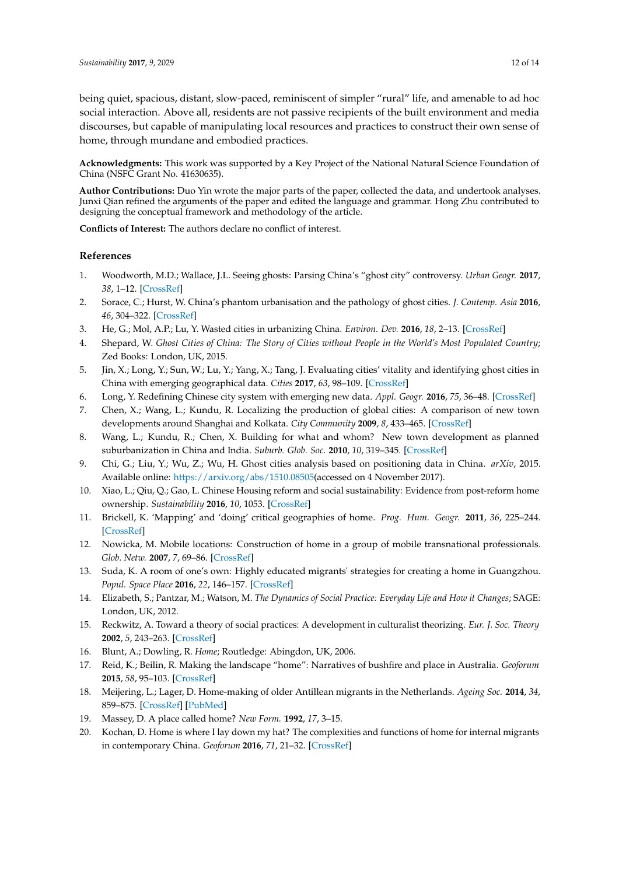being quiet, spacious, distant, slow-paced, reminiscent of simpler "rural" life, and amenable to ad hoc social interaction. Above all, residents are not passive recipients of the built environment and media discourses, but capable of manipulating local resources and practices to construct their own sense of home, through mundane and embodied practices.

**Acknowledgments:** This work was supported by a Key Project of the National Natural Science Foundation of China (NSFC Grant No. 41630635).

**Author Contributions:** Duo Yin wrote the major parts of the paper, collected the data, and undertook analyses. Junxi Qian refined the arguments of the paper and edited the language and grammar. Hong Zhu contributed to designing the conceptual framework and methodology of the article.

**Conflicts of Interest:** The authors declare no conflict of interest.

#### **References**

- <span id="page-11-0"></span>1. Woodworth, M.D.; Wallace, J.L. Seeing ghosts: Parsing China's "ghost city" controversy. *Urban Geogr.* **2017**, *38*, 1–12. [\[CrossRef\]](http://dx.doi.org/10.1080/02723638.2017.1288009)
- <span id="page-11-1"></span>2. Sorace, C.; Hurst, W. China's phantom urbanisation and the pathology of ghost cities. *J. Contemp. Asia* **2016**, *46*, 304–322. [\[CrossRef\]](http://dx.doi.org/10.1080/00472336.2015.1115532)
- <span id="page-11-2"></span>3. He, G.; Mol, A.P.; Lu, Y. Wasted cities in urbanizing China. *Environ. Dev.* **2016**, *18*, 2–13. [\[CrossRef\]](http://dx.doi.org/10.1016/j.envdev.2015.12.003)
- <span id="page-11-3"></span>4. Shepard, W. *Ghost Cities of China: The Story of Cities without People in the World's Most Populated Country*; Zed Books: London, UK, 2015.
- <span id="page-11-4"></span>5. Jin, X.; Long, Y.; Sun, W.; Lu, Y.; Yang, X.; Tang, J. Evaluating cities' vitality and identifying ghost cities in China with emerging geographical data. *Cities* **2017**, *63*, 98–109. [\[CrossRef\]](http://dx.doi.org/10.1016/j.cities.2017.01.002)
- <span id="page-11-5"></span>6. Long, Y. Redefining Chinese city system with emerging new data. *Appl. Geogr.* **2016**, *75*, 36–48. [\[CrossRef\]](http://dx.doi.org/10.1016/j.apgeog.2016.08.002)
- <span id="page-11-6"></span>7. Chen, X.; Wang, L.; Kundu, R. Localizing the production of global cities: A comparison of new town developments around Shanghai and Kolkata. *City Community* **2009**, *8*, 433–465. [\[CrossRef\]](http://dx.doi.org/10.1111/j.1540-6040.2009.01301.x)
- <span id="page-11-7"></span>8. Wang, L.; Kundu, R.; Chen, X. Building for what and whom? New town development as planned suburbanization in China and India. *Suburb. Glob. Soc.* **2010**, *10*, 319–345. [\[CrossRef\]](http://dx.doi.org/10.1108/S1047-0042(2010)0000010016)
- <span id="page-11-8"></span>9. Chi, G.; Liu, Y.; Wu, Z.; Wu, H. Ghost cities analysis based on positioning data in China. *arXiv*, 2015. Available online: [https://arxiv.org/abs/1510.08505\(](https://arxiv.org/abs/1510.08505)accessed on 4 November 2017).
- <span id="page-11-9"></span>10. Xiao, L.; Qiu, Q.; Gao, L. Chinese Housing reform and social sustainability: Evidence from post-reform home ownership. *Sustainability* **2016**, *10*, 1053. [\[CrossRef\]](http://dx.doi.org/10.3390/su8101053)
- <span id="page-11-10"></span>11. Brickell, K. 'Mapping' and 'doing' critical geographies of home. *Prog. Hum. Geogr.* **2011**, *36*, 225–244. [\[CrossRef\]](http://dx.doi.org/10.1177/0309132511418708)
- <span id="page-11-11"></span>12. Nowicka, M. Mobile locations: Construction of home in a group of mobile transnational professionals. *Glob. Netw.* **2007**, *7*, 69–86. [\[CrossRef\]](http://dx.doi.org/10.1111/j.1471-0374.2006.00157.x)
- <span id="page-11-12"></span>13. Suda, K. A room of one's own: Highly educated migrants' strategies for creating a home in Guangzhou. *Popul. Space Place* **2016**, *22*, 146–157. [\[CrossRef\]](http://dx.doi.org/10.1002/psp.1898)
- <span id="page-11-13"></span>14. Elizabeth, S.; Pantzar, M.; Watson, M. *The Dynamics of Social Practice: Everyday Life and How it Changes*; SAGE: London, UK, 2012.
- <span id="page-11-14"></span>15. Reckwitz, A. Toward a theory of social practices: A development in culturalist theorizing. *Eur. J. Soc. Theory* **2002**, *5*, 243–263. [\[CrossRef\]](http://dx.doi.org/10.1177/13684310222225432)
- <span id="page-11-15"></span>16. Blunt, A.; Dowling, R. *Home*; Routledge: Abingdon, UK, 2006.
- <span id="page-11-16"></span>17. Reid, K.; Beilin, R. Making the landscape "home": Narratives of bushfire and place in Australia. *Geoforum* **2015**, *58*, 95–103. [\[CrossRef\]](http://dx.doi.org/10.1016/j.geoforum.2014.10.005)
- <span id="page-11-17"></span>18. Meijering, L.; Lager, D. Home-making of older Antillean migrants in the Netherlands. *Ageing Soc.* **2014**, *34*, 859–875. [\[CrossRef\]](http://dx.doi.org/10.1017/S0144686X12001377) [\[PubMed\]](http://www.ncbi.nlm.nih.gov/pubmed/24707068)
- <span id="page-11-18"></span>19. Massey, D. A place called home? *New Form.* **1992**, *17*, 3–15.
- <span id="page-11-19"></span>20. Kochan, D. Home is where I lay down my hat? The complexities and functions of home for internal migrants in contemporary China. *Geoforum* **2016**, *71*, 21–32. [\[CrossRef\]](http://dx.doi.org/10.1016/j.geoforum.2016.02.021)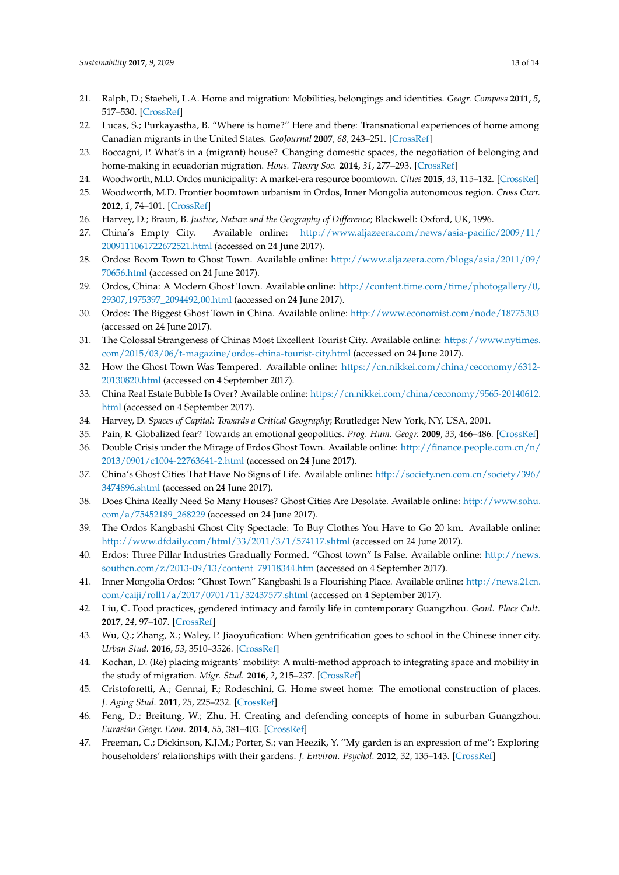- <span id="page-12-0"></span>21. Ralph, D.; Staeheli, L.A. Home and migration: Mobilities, belongings and identities. *Geogr. Compass* **2011**, *5*, 517–530. [\[CrossRef\]](http://dx.doi.org/10.1111/j.1749-8198.2011.00434.x)
- <span id="page-12-1"></span>22. Lucas, S.; Purkayastha, B. "Where is home?" Here and there: Transnational experiences of home among Canadian migrants in the United States. *GeoJournal* **2007**, *68*, 243–251. [\[CrossRef\]](http://dx.doi.org/10.1007/s10708-007-9073-0)
- <span id="page-12-2"></span>23. Boccagni, P. What's in a (migrant) house? Changing domestic spaces, the negotiation of belonging and home-making in ecuadorian migration. *Hous. Theory Soc.* **2014**, *31*, 277–293. [\[CrossRef\]](http://dx.doi.org/10.1080/14036096.2013.867280)
- <span id="page-12-3"></span>24. Woodworth, M.D. Ordos municipality: A market-era resource boomtown. *Cities* **2015**, *43*, 115–132. [\[CrossRef\]](http://dx.doi.org/10.1016/j.cities.2014.11.017)
- <span id="page-12-4"></span>25. Woodworth, M.D. Frontier boomtown urbanism in Ordos, Inner Mongolia autonomous region. *Cross Curr.* **2012**, *1*, 74–101. [\[CrossRef\]](http://dx.doi.org/10.1353/ach.2012.0009)
- <span id="page-12-5"></span>26. Harvey, D.; Braun, B. *Justice, Nature and the Geography of Difference*; Blackwell: Oxford, UK, 1996.
- <span id="page-12-6"></span>27. China's Empty City. Available online: [http://www.aljazeera.com/news/asia-pacific/2009/11/](http://www.aljazeera.com/news/asia-pacific/2009/11/2009111061722672521.html) [2009111061722672521.html](http://www.aljazeera.com/news/asia-pacific/2009/11/2009111061722672521.html) (accessed on 24 June 2017).
- <span id="page-12-7"></span>28. Ordos: Boom Town to Ghost Town. Available online: [http://www.aljazeera.com/blogs/asia/2011/09/](http://www.aljazeera.com/blogs/asia/2011/09/70656.html) [70656.html](http://www.aljazeera.com/blogs/asia/2011/09/70656.html) (accessed on 24 June 2017).
- <span id="page-12-8"></span>29. Ordos, China: A Modern Ghost Town. Available online: [http://content.time.com/time/photogallery/0,](http://content.time.com/time/photogallery/0,29307,1975397_2094492,00.html) [29307,1975397\\_2094492,00.html](http://content.time.com/time/photogallery/0,29307,1975397_2094492,00.html) (accessed on 24 June 2017).
- <span id="page-12-9"></span>30. Ordos: The Biggest Ghost Town in China. Available online: <http://www.economist.com/node/18775303> (accessed on 24 June 2017).
- <span id="page-12-10"></span>31. The Colossal Strangeness of Chinas Most Excellent Tourist City. Available online: [https://www.nytimes.](https://www.nytimes.com/2015/03/06/t-magazine/ordos-china-tourist-city.html) [com/2015/03/06/t-magazine/ordos-china-tourist-city.html](https://www.nytimes.com/2015/03/06/t-magazine/ordos-china-tourist-city.html) (accessed on 24 June 2017).
- <span id="page-12-11"></span>32. How the Ghost Town Was Tempered. Available online: [https://cn.nikkei.com/china/ceconomy/6312-](https://cn.nikkei.com/china/ceconomy/6312-20130820.html) [20130820.html](https://cn.nikkei.com/china/ceconomy/6312-20130820.html) (accessed on 4 September 2017).
- <span id="page-12-12"></span>33. China Real Estate Bubble Is Over? Available online: [https://cn.nikkei.com/china/ceconomy/9565-20140612.](https://cn.nikkei.com/china/ceconomy/9565-20140612.html) [html](https://cn.nikkei.com/china/ceconomy/9565-20140612.html) (accessed on 4 September 2017).
- <span id="page-12-13"></span>34. Harvey, D. *Spaces of Capital: Towards a Critical Geography*; Routledge: New York, NY, USA, 2001.
- <span id="page-12-14"></span>35. Pain, R. Globalized fear? Towards an emotional geopolitics. *Prog. Hum. Geogr.* **2009**, *33*, 466–486. [\[CrossRef\]](http://dx.doi.org/10.1177/0309132508104994)
- <span id="page-12-15"></span>36. Double Crisis under the Mirage of Erdos Ghost Town. Available online: [http://finance.people.com.cn/n/](http://finance.people.com.cn/n/2013/0901/c1004-22763641-2.html) [2013/0901/c1004-22763641-2.html](http://finance.people.com.cn/n/2013/0901/c1004-22763641-2.html) (accessed on 24 June 2017).
- <span id="page-12-16"></span>37. China's Ghost Cities That Have No Signs of Life. Available online: [http://society.nen.com.cn/society/396/](http://society.nen.com.cn/society/396/3474896.shtml) [3474896.shtml](http://society.nen.com.cn/society/396/3474896.shtml) (accessed on 24 June 2017).
- <span id="page-12-17"></span>38. Does China Really Need So Many Houses? Ghost Cities Are Desolate. Available online: [http://www.sohu.](http://www.sohu.com/a/75452189_268229) [com/a/75452189\\_268229](http://www.sohu.com/a/75452189_268229) (accessed on 24 June 2017).
- <span id="page-12-18"></span>39. The Ordos Kangbashi Ghost City Spectacle: To Buy Clothes You Have to Go 20 km. Available online: <http://www.dfdaily.com/html/33/2011/3/1/574117.shtml> (accessed on 24 June 2017).
- <span id="page-12-19"></span>40. Erdos: Three Pillar Industries Gradually Formed. "Ghost town" Is False. Available online: [http://news.](http://news.southcn.com/z/2013-09/13/content_79118344.htm) [southcn.com/z/2013-09/13/content\\_79118344.htm](http://news.southcn.com/z/2013-09/13/content_79118344.htm) (accessed on 4 September 2017).
- <span id="page-12-20"></span>41. Inner Mongolia Ordos: "Ghost Town" Kangbashi Is a Flourishing Place. Available online: [http://news.21cn.](http://news.21cn.com/caiji/roll1/a/2017/0701/11/32437577.shtml) [com/caiji/roll1/a/2017/0701/11/32437577.shtml](http://news.21cn.com/caiji/roll1/a/2017/0701/11/32437577.shtml) (accessed on 4 September 2017).
- <span id="page-12-21"></span>42. Liu, C. Food practices, gendered intimacy and family life in contemporary Guangzhou. *Gend. Place Cult.* **2017**, *24*, 97–107. [\[CrossRef\]](http://dx.doi.org/10.1080/0966369X.2016.1263604)
- <span id="page-12-22"></span>43. Wu, Q.; Zhang, X.; Waley, P. Jiaoyufication: When gentrification goes to school in the Chinese inner city. *Urban Stud.* **2016**, *53*, 3510–3526. [\[CrossRef\]](http://dx.doi.org/10.1177/0042098015613234)
- <span id="page-12-23"></span>44. Kochan, D. (Re) placing migrants' mobility: A multi-method approach to integrating space and mobility in the study of migration. *Migr. Stud.* **2016**, *2*, 215–237. [\[CrossRef\]](http://dx.doi.org/10.1093/migration/mnw003)
- <span id="page-12-24"></span>45. Cristoforetti, A.; Gennai, F.; Rodeschini, G. Home sweet home: The emotional construction of places. *J. Aging Stud.* **2011**, *25*, 225–232. [\[CrossRef\]](http://dx.doi.org/10.1016/j.jaging.2011.03.006)
- <span id="page-12-25"></span>46. Feng, D.; Breitung, W.; Zhu, H. Creating and defending concepts of home in suburban Guangzhou. *Eurasian Geogr. Econ.* **2014**, *55*, 381–403. [\[CrossRef\]](http://dx.doi.org/10.1080/15387216.2015.1016543)
- <span id="page-12-26"></span>47. Freeman, C.; Dickinson, K.J.M.; Porter, S.; van Heezik, Y. "My garden is an expression of me": Exploring householders' relationships with their gardens. *J. Environ. Psychol.* **2012**, *32*, 135–143. [\[CrossRef\]](http://dx.doi.org/10.1016/j.jenvp.2012.01.005)